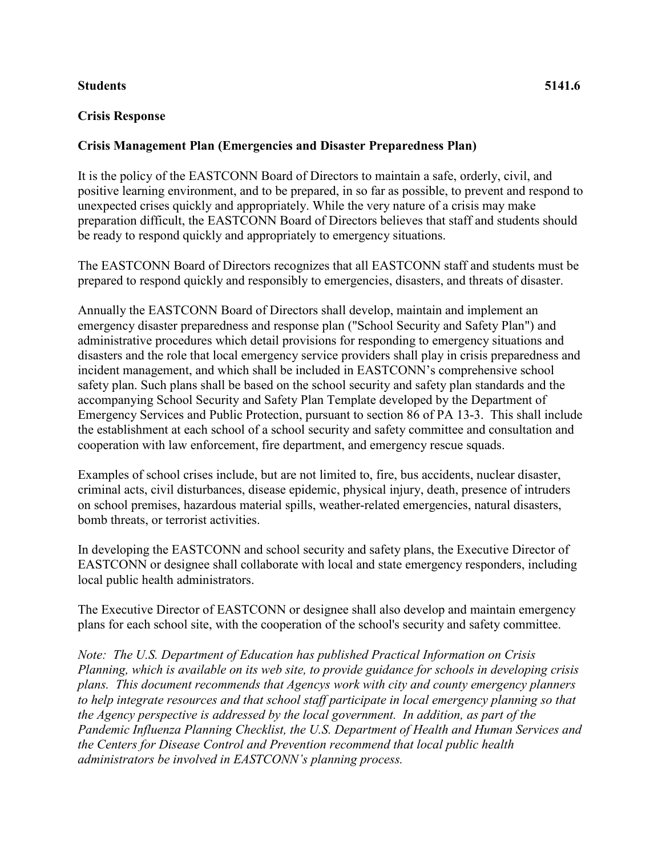## **Students 5141.6**

## **Crisis Response**

## **Crisis Management Plan (Emergencies and Disaster Preparedness Plan)**

It is the policy of the EASTCONN Board of Directors to maintain a safe, orderly, civil, and positive learning environment, and to be prepared, in so far as possible, to prevent and respond to unexpected crises quickly and appropriately. While the very nature of a crisis may make preparation difficult, the EASTCONN Board of Directors believes that staff and students should be ready to respond quickly and appropriately to emergency situations.

The EASTCONN Board of Directors recognizes that all EASTCONN staff and students must be prepared to respond quickly and responsibly to emergencies, disasters, and threats of disaster.

Annually the EASTCONN Board of Directors shall develop, maintain and implement an emergency disaster preparedness and response plan ("School Security and Safety Plan") and administrative procedures which detail provisions for responding to emergency situations and disasters and the role that local emergency service providers shall play in crisis preparedness and incident management, and which shall be included in EASTCONN's comprehensive school safety plan. Such plans shall be based on the school security and safety plan standards and the accompanying School Security and Safety Plan Template developed by the Department of Emergency Services and Public Protection, pursuant to section 86 of PA 13-3. This shall include the establishment at each school of a school security and safety committee and consultation and cooperation with law enforcement, fire department, and emergency rescue squads.

Examples of school crises include, but are not limited to, fire, bus accidents, nuclear disaster, criminal acts, civil disturbances, disease epidemic, physical injury, death, presence of intruders on school premises, hazardous material spills, weather-related emergencies, natural disasters, bomb threats, or terrorist activities.

In developing the EASTCONN and school security and safety plans, the Executive Director of EASTCONN or designee shall collaborate with local and state emergency responders, including local public health administrators.

The Executive Director of EASTCONN or designee shall also develop and maintain emergency plans for each school site, with the cooperation of the school's security and safety committee.

*Note: The U.S. Department of Education has published Practical Information on Crisis Planning, which is available on its web site, to provide guidance for schools in developing crisis plans. This document recommends that Agencys work with city and county emergency planners to help integrate resources and that school staff participate in local emergency planning so that the Agency perspective is addressed by the local government. In addition, as part of the Pandemic Influenza Planning Checklist, the U.S. Department of Health and Human Services and the Centers for Disease Control and Prevention recommend that local public health administrators be involved in EASTCONN's planning process.*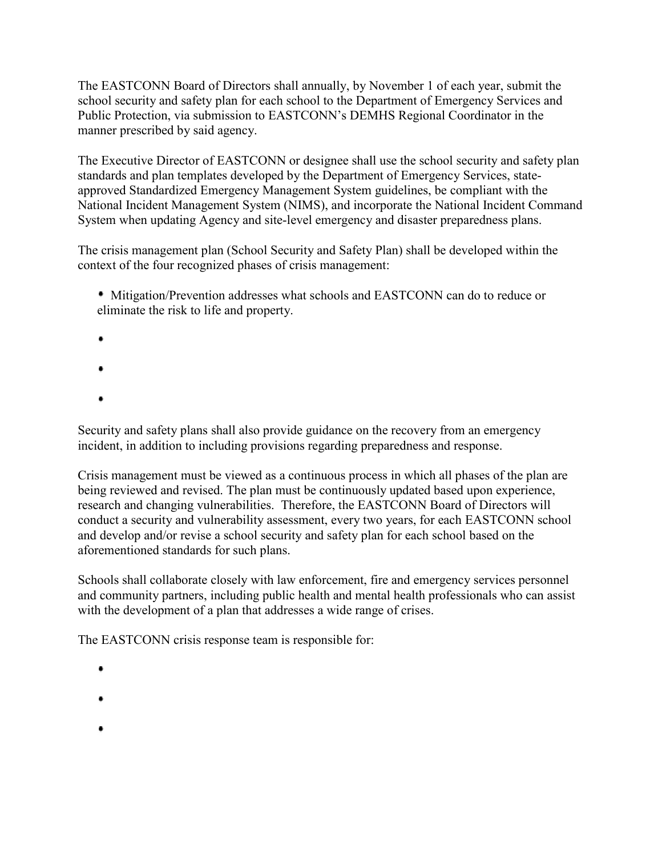The EASTCONN Board of Directors shall annually, by November 1 of each year, submit the school security and safety plan for each school to the Department of Emergency Services and Public Protection, via submission to EASTCONN's DEMHS Regional Coordinator in the manner prescribed by said agency.

The Executive Director of EASTCONN or designee shall use the school security and safety plan standards and plan templates developed by the Department of Emergency Services, stateapproved Standardized Emergency Management System guidelines, be compliant with the National Incident Management System (NIMS), and incorporate the National Incident Command System when updating Agency and site-level emergency and disaster preparedness plans.

The crisis management plan (School Security and Safety Plan) shall be developed within the context of the four recognized phases of crisis management:

 Mitigation/Prevention addresses what schools and EASTCONN can do to reduce or eliminate the risk to life and property.

- 
- 
- $\bullet$
- $\bullet$

Security and safety plans shall also provide guidance on the recovery from an emergency incident, in addition to including provisions regarding preparedness and response.

Crisis management must be viewed as a continuous process in which all phases of the plan are being reviewed and revised. The plan must be continuously updated based upon experience, research and changing vulnerabilities. Therefore, the EASTCONN Board of Directors will conduct a security and vulnerability assessment, every two years, for each EASTCONN school and develop and/or revise a school security and safety plan for each school based on the aforementioned standards for such plans.

Schools shall collaborate closely with law enforcement, fire and emergency services personnel and community partners, including public health and mental health professionals who can assist with the development of a plan that addresses a wide range of crises.

The EASTCONN crisis response team is responsible for:

- $\bullet$
- 
- 
-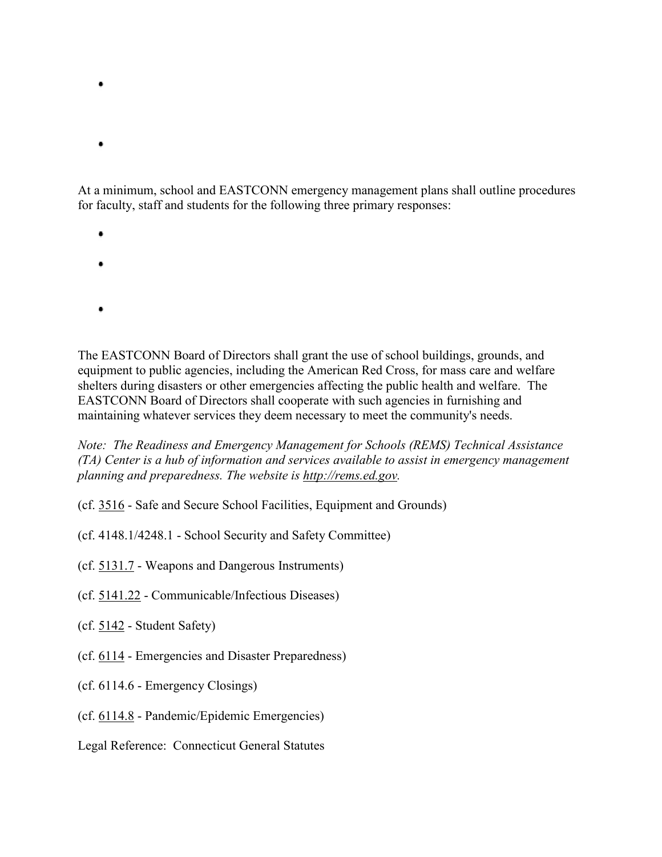- At a minimum, school and EASTCONN emergency management plans shall outline procedures for faculty, staff and students for the following three primary responses:
	- $\bullet$

 $\bullet$ 

- -
- ٠

The EASTCONN Board of Directors shall grant the use of school buildings, grounds, and equipment to public agencies, including the American Red Cross, for mass care and welfare shelters during disasters or other emergencies affecting the public health and welfare. The EASTCONN Board of Directors shall cooperate with such agencies in furnishing and maintaining whatever services they deem necessary to meet the community's needs.

*Note: The Readiness and Emergency Management for Schools (REMS) Technical Assistance (TA) Center is a hub of information and services available to assist in emergency management planning and preparedness. The website is [http://rems.ed.gov.](http://rems.ed.gov/)*

- (cf. [3516](http://z2policy.cabe.org/cabe/DocViewer.jsp?docid=120&z2collection=core#JD_3516)  Safe and Secure School Facilities, Equipment and Grounds)
- (cf. 4148.1/4248.1 School Security and Safety Committee)
- (cf. [5131.7](http://z2policy.cabe.org/cabe/DocViewer.jsp?docid=275&z2collection=core#JD_5131.7)  Weapons and Dangerous Instruments)
- (cf. [5141.22](http://z2policy.cabe.org/cabe/DocViewer.jsp?docid=297&z2collection=core#JD_5141.22)  Communicable/Infectious Diseases)
- (cf. [5142](http://z2policy.cabe.org/cabe/DocViewer.jsp?docid=307&z2collection=core#JD_5142)  Student Safety)
- (cf. [6114](http://z2policy.cabe.org/cabe/DocViewer.jsp?docid=351&z2collection=core#JD_6114)  Emergencies and Disaster Preparedness)
- (cf. 6114.6 Emergency Closings)
- (cf. [6114.8](http://z2policy.cabe.org/cabe/DocViewer.jsp?docid=355&z2collection=core#JD_6114.8)  Pandemic/Epidemic Emergencies)
- Legal Reference: Connecticut General Statutes